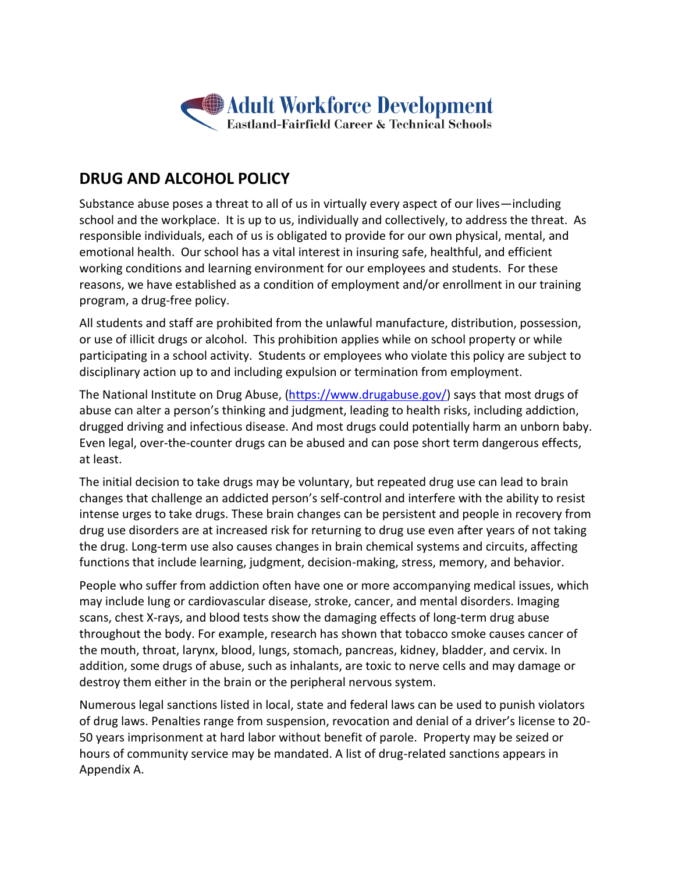

# **DRUG AND ALCOHOL POLICY**

Substance abuse poses a threat to all of us in virtually every aspect of our lives—including school and the workplace. It is up to us, individually and collectively, to address the threat. As responsible individuals, each of us is obligated to provide for our own physical, mental, and emotional health. Our school has a vital interest in insuring safe, healthful, and efficient working conditions and learning environment for our employees and students. For these reasons, we have established as a condition of employment and/or enrollment in our training program, a drug-free policy.

All students and staff are prohibited from the unlawful manufacture, distribution, possession, or use of illicit drugs or alcohol. This prohibition applies while on school property or while participating in a school activity. Students or employees who violate this policy are subject to disciplinary action up to and including expulsion or termination from employment.

The National Institute on Drug Abuse, [\(https://www.drugabuse.gov/\)](https://www.drugabuse.gov/) says that most drugs of abuse can alter a person's thinking and judgment, leading to health risks, including addiction, drugged driving and infectious disease. And most drugs could potentially harm an unborn baby. Even legal, over-the-counter drugs can be abused and can pose short term dangerous effects, at least.

The initial decision to take drugs may be voluntary, but repeated drug use can lead to brain changes that challenge an addicted person's self-control and interfere with the ability to resist intense urges to take drugs. These brain changes can be persistent and people in recovery from drug use disorders are at increased risk for returning to drug use even after years of not taking the drug. Long-term use also causes changes in brain chemical systems and circuits, affecting functions that include learning, judgment, decision-making, stress, memory, and behavior.

People who suffer from addiction often have one or more accompanying medical issues, which may include lung or cardiovascular disease, stroke, cancer, and mental disorders. Imaging scans, chest X-rays, and blood tests show the damaging effects of long-term drug abuse throughout the body. For example, research has shown that tobacco smoke causes cancer of the mouth, throat, larynx, blood, lungs, stomach, pancreas, kidney, bladder, and cervix. In addition, some drugs of abuse, such as inhalants, are toxic to nerve cells and may damage or destroy them either in the brain or the peripheral nervous system.

Numerous legal sanctions listed in local, state and federal laws can be used to punish violators of drug laws. Penalties range from suspension, revocation and denial of a driver's license to 20- 50 years imprisonment at hard labor without benefit of parole. Property may be seized or hours of community service may be mandated. A list of drug-related sanctions appears in Appendix A.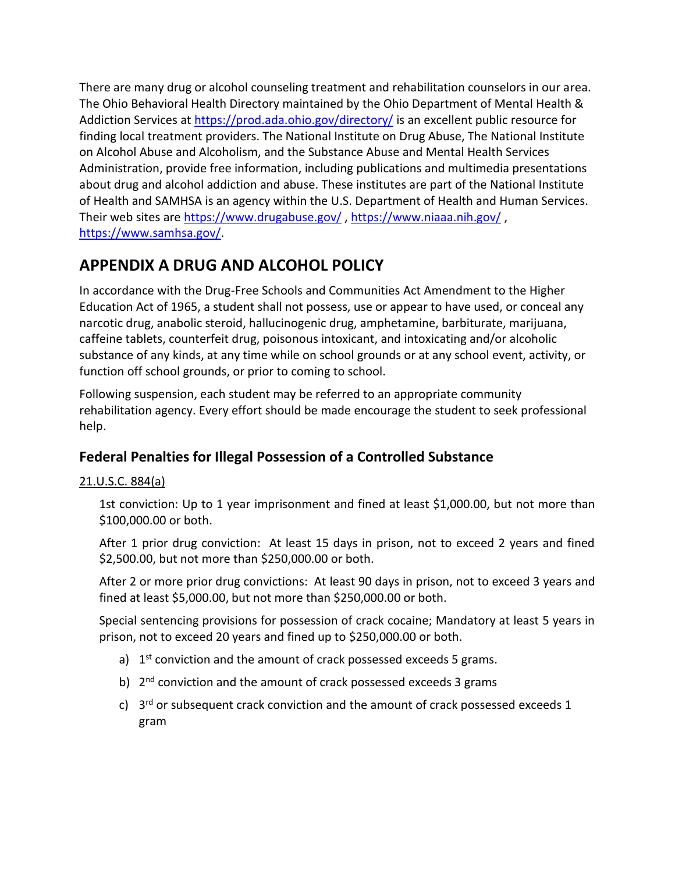There are many drug or alcohol counseling treatment and rehabilitation counselors in our area. The Ohio Behavioral Health Directory maintained by the Ohio Department of Mental Health & Addiction Services at<https://prod.ada.ohio.gov/directory/> is an excellent public resource for finding local treatment providers. The National Institute on Drug Abuse, The National Institute on Alcohol Abuse and Alcoholism, and the Substance Abuse and Mental Health Services Administration, provide free information, including publications and multimedia presentations about drug and alcohol addiction and abuse. These institutes are part of the National Institute of Health and SAMHSA is an agency within the U.S. Department of Health and Human Services. Their web sites are<https://www.drugabuse.gov/> ,<https://www.niaaa.nih.gov/> , [https://www.samhsa.gov/.](https://www.samhsa.gov/)

# **APPENDIX A DRUG AND ALCOHOL POLICY**

In accordance with the Drug-Free Schools and Communities Act Amendment to the Higher Education Act of 1965, a student shall not possess, use or appear to have used, or conceal any narcotic drug, anabolic steroid, hallucinogenic drug, amphetamine, barbiturate, marijuana, caffeine tablets, counterfeit drug, poisonous intoxicant, and intoxicating and/or alcoholic substance of any kinds, at any time while on school grounds or at any school event, activity, or function off school grounds, or prior to coming to school.

Following suspension, each student may be referred to an appropriate community rehabilitation agency. Every effort should be made encourage the student to seek professional help.

# **Federal Penalties for Illegal Possession of a Controlled Substance**

## 21.U.S.C. 884(a)

1st conviction: Up to 1 year imprisonment and fined at least \$1,000.00, but not more than \$100,000.00 or both.

After 1 prior drug conviction: At least 15 days in prison, not to exceed 2 years and fined \$2,500.00, but not more than \$250,000.00 or both.

After 2 or more prior drug convictions: At least 90 days in prison, not to exceed 3 years and fined at least \$5,000.00, but not more than \$250,000.00 or both.

Special sentencing provisions for possession of crack cocaine; Mandatory at least 5 years in prison, not to exceed 20 years and fined up to \$250,000.00 or both.

- a) 1<sup>st</sup> conviction and the amount of crack possessed exceeds 5 grams.
- b) 2<sup>nd</sup> conviction and the amount of crack possessed exceeds 3 grams
- c) 3<sup>rd</sup> or subsequent crack conviction and the amount of crack possessed exceeds 1 gram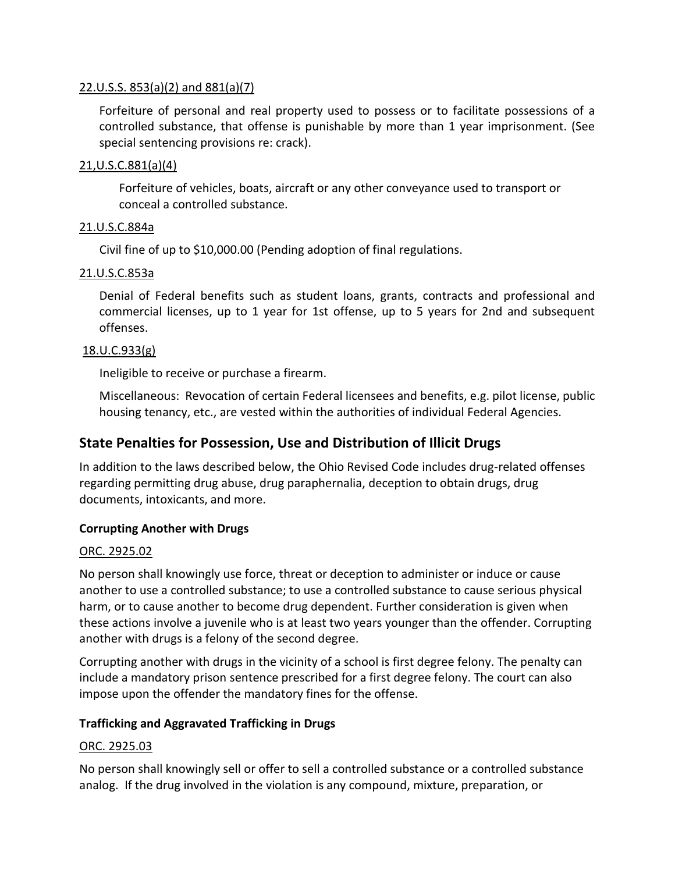#### 22.U.S.S. 853(a)(2) and 881(a)(7)

Forfeiture of personal and real property used to possess or to facilitate possessions of a controlled substance, that offense is punishable by more than 1 year imprisonment. (See special sentencing provisions re: crack).

#### 21,U.S.C.881(a)(4)

Forfeiture of vehicles, boats, aircraft or any other conveyance used to transport or conceal a controlled substance.

#### 21.U.S.C.884a

Civil fine of up to \$10,000.00 (Pending adoption of final regulations.

#### 21.U.S.C.853a

Denial of Federal benefits such as student loans, grants, contracts and professional and commercial licenses, up to 1 year for 1st offense, up to 5 years for 2nd and subsequent offenses.

#### 18.U.C.933(g)

Ineligible to receive or purchase a firearm.

Miscellaneous: Revocation of certain Federal licensees and benefits, e.g. pilot license, public housing tenancy, etc., are vested within the authorities of individual Federal Agencies.

## **State Penalties for Possession, Use and Distribution of Illicit Drugs**

In addition to the laws described below, the Ohio Revised Code includes drug-related offenses regarding permitting drug abuse, drug paraphernalia, deception to obtain drugs, drug documents, intoxicants, and more.

#### **Corrupting Another with Drugs**

#### ORC. 2925.02

No person shall knowingly use force, threat or deception to administer or induce or cause another to use a controlled substance; to use a controlled substance to cause serious physical harm, or to cause another to become drug dependent. Further consideration is given when these actions involve a juvenile who is at least two years younger than the offender. Corrupting another with drugs is a felony of the second degree.

Corrupting another with drugs in the vicinity of a school is first degree felony. The penalty can include a mandatory prison sentence prescribed for a first degree felony. The court can also impose upon the offender the mandatory fines for the offense.

#### **Trafficking and Aggravated Trafficking in Drugs**

#### ORC. 2925.03

No person shall knowingly sell or offer to sell a controlled substance or a controlled substance analog. If the drug involved in the violation is any compound, mixture, preparation, or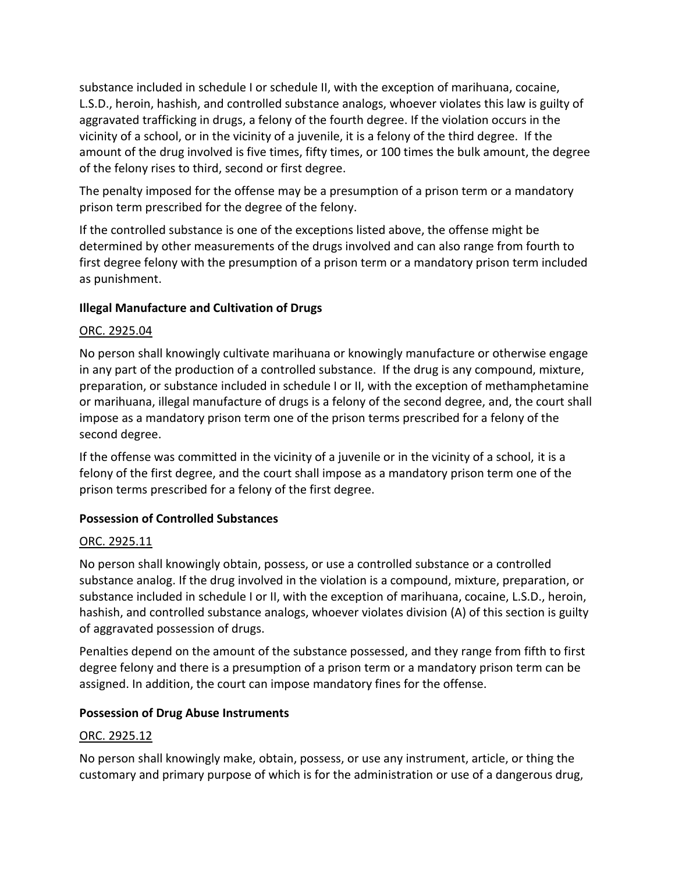substance included in schedule I or schedule II, with the exception of marihuana, cocaine, L.S.D., heroin, hashish, and controlled substance analogs, whoever violates this law is guilty of aggravated trafficking in drugs, a felony of the fourth degree. If the violation occurs in the vicinity of a school, or in the vicinity of a juvenile, it is a felony of the third degree. If the amount of the drug involved is five times, fifty times, or 100 times the bulk amount, the degree of the felony rises to third, second or first degree.

The penalty imposed for the offense may be a presumption of a prison term or a mandatory prison term prescribed for the degree of the felony.

If the controlled substance is one of the exceptions listed above, the offense might be determined by other measurements of the drugs involved and can also range from fourth to first degree felony with the presumption of a prison term or a mandatory prison term included as punishment.

### **Illegal Manufacture and Cultivation of Drugs**

#### ORC. 2925.04

No person shall knowingly cultivate marihuana or knowingly manufacture or otherwise engage in any part of the production of a controlled substance. If the drug is any compound, mixture, preparation, or substance included in schedule I or II, with the exception of methamphetamine or marihuana, illegal manufacture of drugs is a felony of the second degree, and, the court shall impose as a mandatory prison term one of the prison terms prescribed for a felony of the second degree.

If the offense was committed in the vicinity of a juvenile or in the vicinity of a school, it is a felony of the first degree, and the court shall impose as a mandatory prison term one of the prison terms prescribed for a felony of the first degree.

### **Possession of Controlled Substances**

#### ORC. 2925.11

No person shall knowingly obtain, possess, or use a controlled substance or a controlled substance analog. If the drug involved in the violation is a compound, mixture, preparation, or substance included in schedule I or II, with the exception of marihuana, cocaine, L.S.D., heroin, hashish, and controlled substance analogs, whoever violates division (A) of this section is guilty of aggravated possession of drugs.

Penalties depend on the amount of the substance possessed, and they range from fifth to first degree felony and there is a presumption of a prison term or a mandatory prison term can be assigned. In addition, the court can impose mandatory fines for the offense.

#### **Possession of Drug Abuse Instruments**

#### ORC. 2925.12

No person shall knowingly make, obtain, possess, or use any instrument, article, or thing the customary and primary purpose of which is for the administration or use of a dangerous drug,